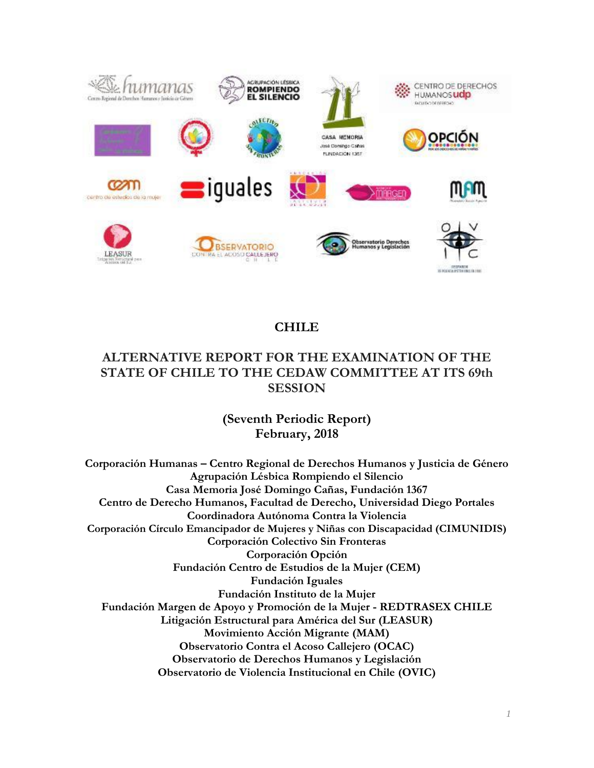

# **CHILE**

# **ALTERNATIVE REPORT FOR THE EXAMINATION OF THE STATE OF CHILE TO THE CEDAW COMMITTEE AT ITS 69th SESSION**

**(Seventh Periodic Report) February, 2018**

**Corporación Humanas – Centro Regional de Derechos Humanos y Justicia de Género Agrupación Lésbica Rompiendo el Silencio Casa Memoria José Domingo Cañas, Fundación 1367 Centro de Derecho Humanos, Facultad de Derecho, Universidad Diego Portales Coordinadora Autónoma Contra la Violencia Corporación Círculo Emancipador de Mujeres y Niñas con Discapacidad (CIMUNIDIS) Corporación Colectivo Sin Fronteras Corporación Opción Fundación Centro de Estudios de la Mujer (CEM) Fundación Iguales Fundación Instituto de la Mujer Fundación Margen de Apoyo y Promoción de la Mujer - REDTRASEX CHILE Litigación Estructural para América del Sur (LEASUR) Movimiento Acción Migrante (MAM) Observatorio Contra el Acoso Callejero (OCAC) Observatorio de Derechos Humanos y Legislación Observatorio de Violencia Institucional en Chile (OVIC)**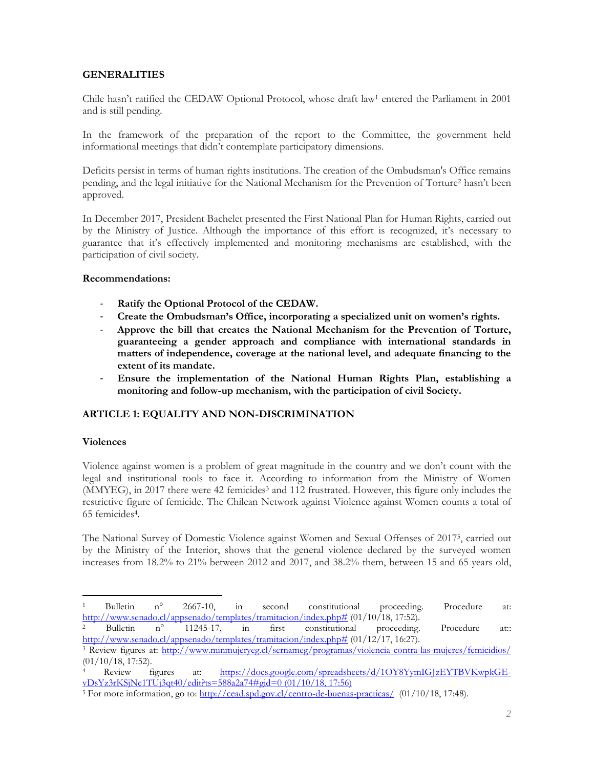# **GENERALITIES**

Chile hasn't ratified the CEDAW Optional Protocol, whose draft law<sup>1</sup> entered the Parliament in 2001 and is still pending.

In the framework of the preparation of the report to the Committee, the government held informational meetings that didn't contemplate participatory dimensions.

Deficits persist in terms of human rights institutions. The creation of the Ombudsman's Office remains pending, and the legal initiative for the National Mechanism for the Prevention of Torture<sup>2</sup> hasn't been approved.

In December 2017, President Bachelet presented the First National Plan for Human Rights, carried out by the Ministry of Justice. Although the importance of this effort is recognized, it's necessary to guarantee that it's effectively implemented and monitoring mechanisms are established, with the participation of civil society.

#### **Recommendations:**

- Ratify the Optional Protocol of the CEDAW.
- **Create the Ombudsman's Office, incorporating a specialized unit on women's rights.**
- **Approve the bill that creates the National Mechanism for the Prevention of Torture, guaranteeing a gender approach and compliance with international standards in matters of independence, coverage at the national level, and adequate financing to the extent of its mandate.**
- **Ensure the implementation of the National Human Rights Plan, establishing a monitoring and follow-up mechanism, with the participation of civil Society.**

# **ARTICLE 1: EQUALITY AND NON-DISCRIMINATION**

#### **Violences**

 $\overline{a}$ 

Violence against women is a problem of great magnitude in the country and we don't count with the legal and institutional tools to face it. According to information from the Ministry of Women (MMYEG), in 2017 there were 42 femicides<sup>3</sup> and 112 frustrated. However, this figure only includes the restrictive figure of femicide. The Chilean Network against Violence against Women counts a total of 65 femicides<sup>4</sup> .

The National Survey of Domestic Violence against Women and Sexual Offenses of 2017<sup>5</sup> , carried out by the Ministry of the Interior, shows that the general violence declared by the surveyed women increases from 18.2% to 21% between 2012 and 2017, and 38.2% them, between 15 and 65 years old,

<sup>1</sup> Bulletin n° 2667-10, in second constitutional proceeding. Procedure at: [http://www.senado.cl/appsenado/templates/tramitacion/index.php#](http://www.senado.cl/appsenado/templates/tramitacion/index.php) (01/10/18, 17:52).

<sup>2</sup> Bulletin n° 11245-17, in first constitutional proceeding. Procedure at:: [http://www.senado.cl/appsenado/templates/tramitacion/index.php#](http://www.senado.cl/appsenado/templates/tramitacion/index.php) (01/12/17, 16:27).

<sup>3</sup> Review figures at: <http://www.minmujeryeg.cl/sernameg/programas/violencia-contra-las-mujeres/femicidios/> (01/10/18, 17:52).

Review figures at: [https://docs.google.com/spreadsheets/d/1OY8YymIGJzEYTBVKwpkGE](https://docs.google.com/spreadsheets/d/1OY8YymIGJzEYTBVKwpkGE-vDsYz3rKSjNe1TUj3qt40/edit?ts=588a2a74#gid=0)[vDsYz3rKSjNe1TUj3qt40/edit?ts=588a2a74#gid=0](https://docs.google.com/spreadsheets/d/1OY8YymIGJzEYTBVKwpkGE-vDsYz3rKSjNe1TUj3qt40/edit?ts=588a2a74#gid=0) (01/10/18, 17:56)

<sup>&</sup>lt;sup>5</sup> For more information, go to[: http://cead.spd.gov.cl/centro-de-buenas-practicas/](http://cead.spd.gov.cl/centro-de-buenas-practicas/) (01/10/18, 17:48).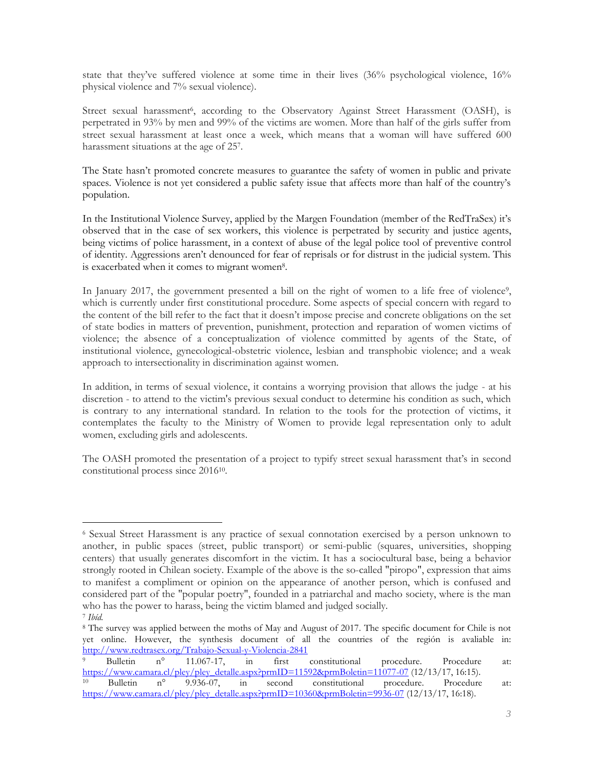state that they've suffered violence at some time in their lives (36% psychological violence, 16% physical violence and 7% sexual violence).

Street sexual harassment<sup>6</sup>, according to the Observatory Against Street Harassment (OASH), is perpetrated in 93% by men and 99% of the victims are women. More than half of the girls suffer from street sexual harassment at least once a week, which means that a woman will have suffered 600 harassment situations at the age of 25<sup>7</sup> .

The State hasn't promoted concrete measures to guarantee the safety of women in public and private spaces. Violence is not yet considered a public safety issue that affects more than half of the country's population.

In the Institutional Violence Survey, applied by the Margen Foundation (member of the RedTraSex) it's observed that in the case of sex workers, this violence is perpetrated by security and justice agents, being victims of police harassment, in a context of abuse of the legal police tool of preventive control of identity. Aggressions aren't denounced for fear of reprisals or for distrust in the judicial system. This is exacerbated when it comes to migrant women<sup>8</sup>.

In January 2017, the government presented a bill on the right of women to a life free of violence<sup>9</sup>, which is currently under first constitutional procedure. Some aspects of special concern with regard to the content of the bill refer to the fact that it doesn't impose precise and concrete obligations on the set of state bodies in matters of prevention, punishment, protection and reparation of women victims of violence; the absence of a conceptualization of violence committed by agents of the State, of institutional violence, gynecological-obstetric violence, lesbian and transphobic violence; and a weak approach to intersectionality in discrimination against women.

In addition, in terms of sexual violence, it contains a worrying provision that allows the judge - at his discretion - to attend to the victim's previous sexual conduct to determine his condition as such, which is contrary to any international standard. In relation to the tools for the protection of victims, it contemplates the faculty to the Ministry of Women to provide legal representation only to adult women, excluding girls and adolescents.

The OASH promoted the presentation of a project to typify street sexual harassment that's in second constitutional process since 2016<sup>10</sup> .

 $\overline{a}$ 

<sup>6</sup> Sexual Street Harassment is any practice of sexual connotation exercised by a person unknown to another, in public spaces (street, public transport) or semi-public (squares, universities, shopping centers) that usually generates discomfort in the victim. It has a sociocultural base, being a behavior strongly rooted in Chilean society. Example of the above is the so-called "piropo", expression that aims to manifest a compliment or opinion on the appearance of another person, which is confused and considered part of the "popular poetry", founded in a patriarchal and macho society, where is the man who has the power to harass, being the victim blamed and judged socially.

<sup>7</sup> *Ibíd.*

<sup>8</sup> The survey was applied between the moths of May and August of 2017. The specific document for Chile is not yet online. However, the synthesis document of all the countries of the región is avaliable in: <http://www.redtrasex.org/Trabajo-Sexual-y-Violencia-2841><br>
<sup>9</sup> Bulletin n° 11.067-17, in first

n° 11.067-17, in first constitutional procedure. Procedure at: [https://www.camara.cl/pley/pley\\_detalle.aspx?prmID=11592&prmBoletin=11077-07](https://www.camara.cl/pley/pley_detalle.aspx?prmID=11592&prmBoletin=11077-07) (12/13/17, 16:15).<br><sup>10</sup> Bulletin n° 9.936-07, in second constitutional procedure. Procedure

Bulletin n° 9.936-07, in second constitutional procedure. Procedure at: [https://www.camara.cl/pley/pley\\_detalle.aspx?prmID=10360&prmBoletin=9936-07](https://www.camara.cl/pley/pley_detalle.aspx?prmID=10360&prmBoletin=9936-07) (12/13/17, 16:18).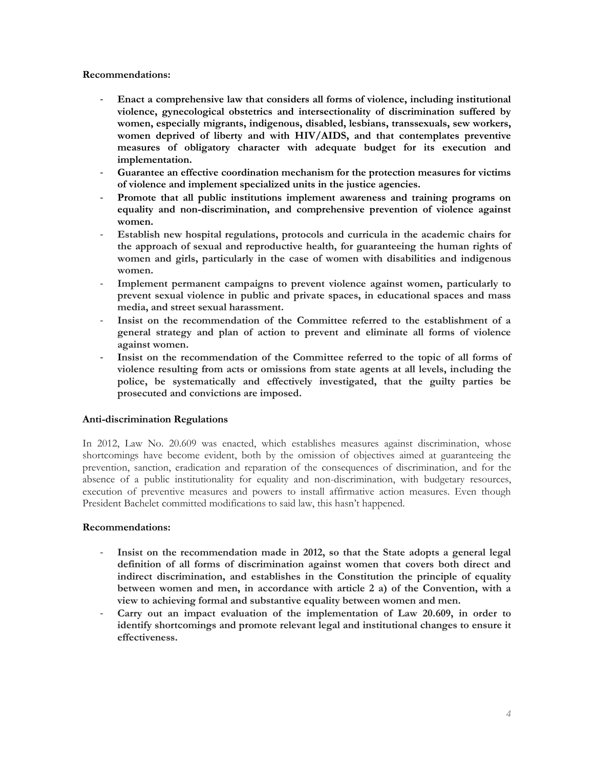- **Enact a comprehensive law that considers all forms of violence, including institutional violence, gynecological obstetrics and intersectionality of discrimination suffered by women, especially migrants, indigenous, disabled, lesbians, transsexuals, sew workers, women deprived of liberty and with HIV/AIDS, and that contemplates preventive measures of obligatory character with adequate budget for its execution and implementation.**
- **Guarantee an effective coordination mechanism for the protection measures for victims of violence and implement specialized units in the justice agencies.**
- Promote that all public institutions implement awareness and training programs on **equality and non-discrimination, and comprehensive prevention of violence against women.**
- **Establish new hospital regulations, protocols and curricula in the academic chairs for the approach of sexual and reproductive health, for guaranteeing the human rights of women and girls, particularly in the case of women with disabilities and indigenous women.**
- **Implement permanent campaigns to prevent violence against women, particularly to prevent sexual violence in public and private spaces, in educational spaces and mass media, and street sexual harassment.**
- **Insist on the recommendation of the Committee referred to the establishment of a general strategy and plan of action to prevent and eliminate all forms of violence against women.**
- **Insist on the recommendation of the Committee referred to the topic of all forms of violence resulting from acts or omissions from state agents at all levels, including the police, be systematically and effectively investigated, that the guilty parties be prosecuted and convictions are imposed.**

# **Anti-discrimination Regulations**

In 2012, Law No. 20.609 was enacted, which establishes measures against discrimination, whose shortcomings have become evident, both by the omission of objectives aimed at guaranteeing the prevention, sanction, eradication and reparation of the consequences of discrimination, and for the absence of a public institutionality for equality and non-discrimination, with budgetary resources, execution of preventive measures and powers to install affirmative action measures. Even though President Bachelet committed modifications to said law, this hasn't happened.

# **Recommendations:**

- **Insist on the recommendation made in 2012, so that the State adopts a general legal definition of all forms of discrimination against women that covers both direct and indirect discrimination, and establishes in the Constitution the principle of equality between women and men, in accordance with article 2 a) of the Convention, with a view to achieving formal and substantive equality between women and men.**
- **Carry out an impact evaluation of the implementation of Law 20.609, in order to identify shortcomings and promote relevant legal and institutional changes to ensure it effectiveness.**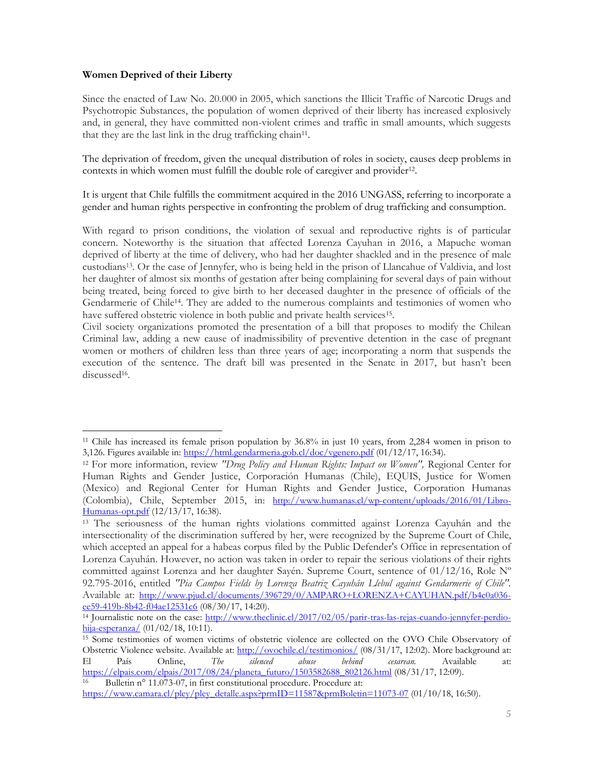### **Women Deprived of their Liberty**

Since the enacted of Law No. 20.000 in 2005, which sanctions the Illicit Traffic of Narcotic Drugs and Psychotropic Substances, the population of women deprived of their liberty has increased explosively and, in general, they have committed non-violent crimes and traffic in small amounts, which suggests that they are the last link in the drug trafficking chain<sup>11</sup>.

The deprivation of freedom, given the unequal distribution of roles in society, causes deep problems in contexts in which women must fulfill the double role of caregiver and provider<sup>12</sup>.

It is urgent that Chile fulfills the commitment acquired in the 2016 UNGASS, referring to incorporate a gender and human rights perspective in confronting the problem of drug trafficking and consumption.

With regard to prison conditions, the violation of sexual and reproductive rights is of particular concern. Noteworthy is the situation that affected Lorenza Cayuhan in 2016, a Mapuche woman deprived of liberty at the time of delivery, who had her daughter shackled and in the presence of male custodians13. Or the case of Jennyfer, who is being held in the prison of Llancahue of Valdivia, and lost her daughter of almost six months of gestation after being complaining for several days of pain without being treated, being forced to give birth to her deceased daughter in the presence of officials of the Gendarmerie of Chile14. They are added to the numerous complaints and testimonies of women who have suffered obstetric violence in both public and private health services<sup>15</sup>.

Civil society organizations promoted the presentation of a bill that proposes to modify the Chilean Criminal law, adding a new cause of inadmissibility of preventive detention in the case of pregnant women or mothers of children less than three years of age; incorporating a norm that suspends the execution of the sentence. The draft bill was presented in the Senate in 2017, but hasn't been discussed<sup>16</sup>.

 $\overline{a}$ <sup>11</sup> Chile has increased its female prison population by 36.8% in just 10 years, from 2,284 women in prison to 3,126. Figures available in:<https://html.gendarmeria.gob.cl/doc/vgenero.pdf> (01/12/17, 16:34).

<sup>12</sup> For more information, review *"Drug Policy and Human Rights: Impact on Women",* Regional Center for Human Rights and Gender Justice, Corporación Humanas (Chile), EQUIS, Justice for Women (Mexico) and Regional Center for Human Rights and Gender Justice, Corporation Humanas (Colombia), Chile, September 2015, in: [http://www.humanas.cl/wp-content/uploads/2016/01/Libro-](http://www.humanas.cl/wp-content/uploads/2016/01/Libro-Humanas-opt.pdf)[Humanas-opt.pdf](http://www.humanas.cl/wp-content/uploads/2016/01/Libro-Humanas-opt.pdf) (12/13/17, 16:38).

<sup>13</sup> The seriousness of the human rights violations committed against Lorenza Cayuhán and the intersectionality of the discrimination suffered by her, were recognized by the Supreme Court of Chile, which accepted an appeal for a habeas corpus filed by the Public Defender's Office in representation of Lorenza Cayuhán. However, no action was taken in order to repair the serious violations of their rights committed against Lorenza and her daughter Sayén. Supreme Court, sentence of 01/12/16, Role Nº 92.795-2016, entitled *"Pia Campos Fields by Lorenza Beatriz Cayuhán Llebul against Gendarmerie of Chile".* Available at: [http://www.pjud.cl/documents/396729/0/AMPARO+LORENZA+CAYUHAN.pdf/b4c0a036](http://www.pjud.cl/documents/396729/0/AMPARO+LORENZA+CAYUHAN.pdf/b4c0a036-ee59-419b-8b42-f04ae12531c6) [ee59-419b-8b42-f04ae12531c6](http://www.pjud.cl/documents/396729/0/AMPARO+LORENZA+CAYUHAN.pdf/b4c0a036-ee59-419b-8b42-f04ae12531c6) (08/30/17, 14:20).

<sup>14</sup> Journalistic note on the case: [http://www.theclinic.cl/2017/02/05/parir-tras-las-rejas-cuando-jennyfer-perdio](http://www.theclinic.cl/2017/02/05/parir-tras-las-rejas-cuando-jennyfer-perdio-hija-esperanza/) $hija-esperanza/$  (01/02/18, 10:11).

<sup>15</sup> Some testimonies of women victims of obstetric violence are collected on the OVO Chile Observatory of Obstetric Violence website. Available at: <http://ovochile.cl/testimonios/> (08/31/17, 12:02). More background at:<br>El País Online, The silenced abuse behind cesarean. Available at: El País Online, *The silenced abuse behind cesarean.* Available at: [https://elpais.com/elpais/2017/08/24/planeta\\_futuro/1503582688\\_802126.html](https://elpais.com/elpais/2017/08/24/planeta_futuro/1503582688_802126.html) (08/31/17, 12:09). 16

Bulletin n° 11.073-07, in first constitutional procedure. Procedure at: [https://www.camara.cl/pley/pley\\_detalle.aspx?prmID=11587&prmBoletin=11073-07](https://www.camara.cl/pley/pley_detalle.aspx?prmID=11587&prmBoletin=11073-07) (01/10/18, 16:50).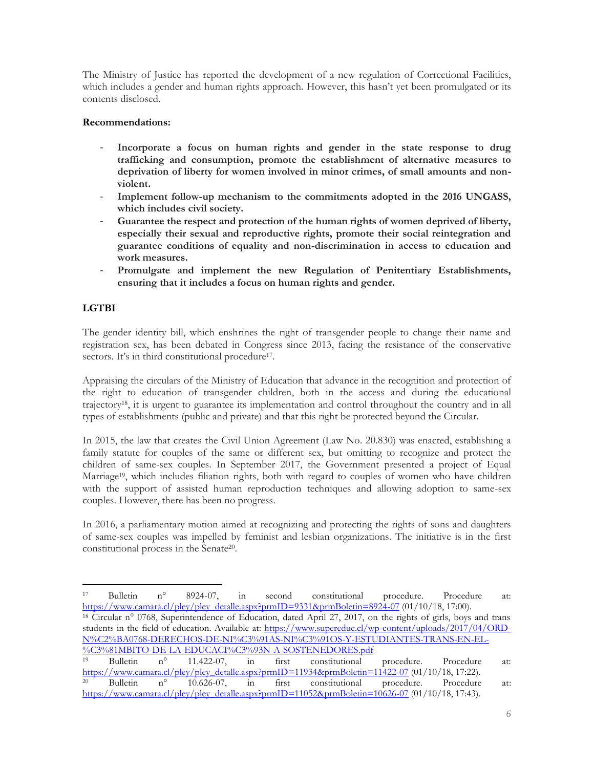The Ministry of Justice has reported the development of a new regulation of Correctional Facilities, which includes a gender and human rights approach. However, this hasn't yet been promulgated or its contents disclosed.

# **Recommendations:**

- **Incorporate a focus on human rights and gender in the state response to drug trafficking and consumption, promote the establishment of alternative measures to deprivation of liberty for women involved in minor crimes, of small amounts and nonviolent.**
- **Implement follow-up mechanism to the commitments adopted in the 2016 UNGASS, which includes civil society.**
- Guarantee the respect and protection of the human rights of women deprived of liberty, **especially their sexual and reproductive rights, promote their social reintegration and guarantee conditions of equality and non-discrimination in access to education and work measures.**
- **Promulgate and implement the new Regulation of Penitentiary Establishments, ensuring that it includes a focus on human rights and gender.**

# **LGTBI**

 $\overline{a}$ 

The gender identity bill, which enshrines the right of transgender people to change their name and registration sex, has been debated in Congress since 2013, facing the resistance of the conservative sectors. It's in third constitutional procedure<sup>17</sup>.

Appraising the circulars of the Ministry of Education that advance in the recognition and protection of the right to education of transgender children, both in the access and during the educational trajectory18, it is urgent to guarantee its implementation and control throughout the country and in all types of establishments (public and private) and that this right be protected beyond the Circular.

In 2015, the law that creates the Civil Union Agreement (Law No. 20.830) was enacted, establishing a family statute for couples of the same or different sex, but omitting to recognize and protect the children of same-sex couples. In September 2017, the Government presented a project of Equal Marriage19, which includes filiation rights, both with regard to couples of women who have children with the support of assisted human reproduction techniques and allowing adoption to same-sex couples. However, there has been no progress.

In 2016, a parliamentary motion aimed at recognizing and protecting the rights of sons and daughters of same-sex couples was impelled by feminist and lesbian organizations. The initiative is in the first constitutional process in the Senate<sup>20</sup> .

<sup>17</sup> Bulletin n° 8924-07, in second constitutional procedure. Procedure at: [https://www.camara.cl/pley/pley\\_detalle.aspx?prmID=9331&prmBoletin=8924-07](https://www.camara.cl/pley/pley_detalle.aspx?prmID=9331&prmBoletin=8924-07) (01/10/18, 17:00). <sup>18</sup> Circular n° 0768, Superintendence of Education, dated April 27, 2017, on the rights of girls, boys and trans students in the field of education. Available at: [https://www.supereduc.cl/wp-content/uploads/2017/04/ORD-](https://www.supereduc.cl/wp-content/uploads/2017/04/ORD-N%C2%BA0768-DERECHOS-DE-NI%C3%91AS-NI%C3%91OS-Y-ESTUDIANTES-TRANS-EN-EL-%C3%81MBITO-DE-LA-EDUCACI%C3%93N-A-SOSTENEDORES.pdf)[N%C2%BA0768-DERECHOS-DE-NI%C3%91AS-NI%C3%91OS-Y-ESTUDIANTES-TRANS-EN-EL-](https://www.supereduc.cl/wp-content/uploads/2017/04/ORD-N%C2%BA0768-DERECHOS-DE-NI%C3%91AS-NI%C3%91OS-Y-ESTUDIANTES-TRANS-EN-EL-%C3%81MBITO-DE-LA-EDUCACI%C3%93N-A-SOSTENEDORES.pdf)

[<sup>%</sup>C3%81MBITO-DE-LA-EDUCACI%C3%93N-A-SOSTENEDORES.pdf](https://www.supereduc.cl/wp-content/uploads/2017/04/ORD-N%C2%BA0768-DERECHOS-DE-NI%C3%91AS-NI%C3%91OS-Y-ESTUDIANTES-TRANS-EN-EL-%C3%81MBITO-DE-LA-EDUCACI%C3%93N-A-SOSTENEDORES.pdf)<br><sup>19</sup> Bulletin n° 11.422-07, in first constitutional 11.422-07, in first constitutional procedure. Procedure at: [https://www.camara.cl/pley/pley\\_detalle.aspx?prmID=11934&prmBoletin=11422-07](https://www.camara.cl/pley/pley_detalle.aspx?prmID=11934&prmBoletin=11422-07) (01/10/18, 17:22). <sup>20</sup> Bulletin n° 10.626-07, in first constitutional procedure. Procedure at: [https://www.camara.cl/pley/pley\\_detalle.aspx?prmID=11052&prmBoletin=10626-07](https://www.camara.cl/pley/pley_detalle.aspx?prmID=11052&prmBoletin=10626-07) (01/10/18, 17:43).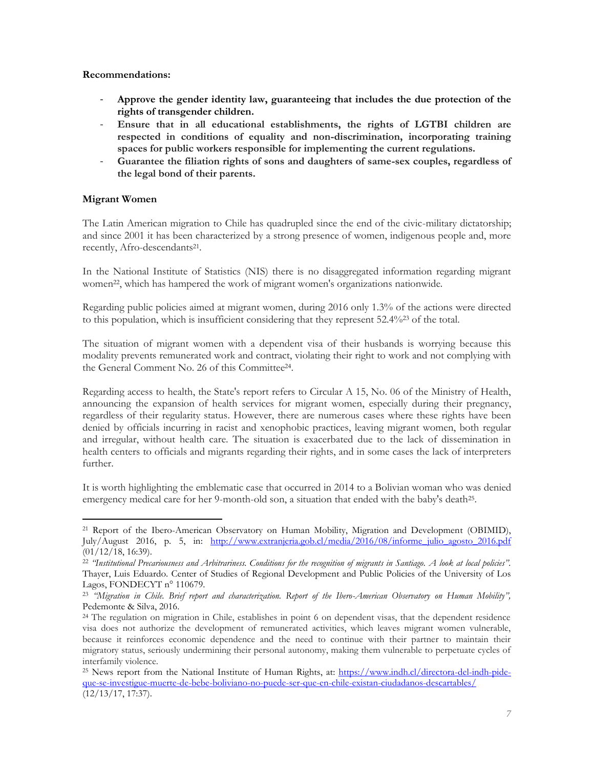- **Approve the gender identity law, guaranteeing that includes the due protection of the rights of transgender children.**
- **Ensure that in all educational establishments, the rights of LGTBI children are respected in conditions of equality and non-discrimination, incorporating training spaces for public workers responsible for implementing the current regulations.**
- **Guarantee the filiation rights of sons and daughters of same-sex couples, regardless of the legal bond of their parents.**

# **Migrant Women**

The Latin American migration to Chile has quadrupled since the end of the civic-military dictatorship; and since 2001 it has been characterized by a strong presence of women, indigenous people and, more recently, Afro-descendants<sup>21</sup>.

In the National Institute of Statistics (NIS) there is no disaggregated information regarding migrant women<sup>22</sup>, which has hampered the work of migrant women's organizations nationwide.

Regarding public policies aimed at migrant women, during 2016 only 1.3% of the actions were directed to this population, which is insufficient considering that they represent 52.4%<sup>23</sup> of the total.

The situation of migrant women with a dependent visa of their husbands is worrying because this modality prevents remunerated work and contract, violating their right to work and not complying with the General Comment No. 26 of this Committee<sup>24</sup>.

Regarding access to health, the State's report refers to Circular A 15, No. 06 of the Ministry of Health, announcing the expansion of health services for migrant women, especially during their pregnancy, regardless of their regularity status. However, there are numerous cases where these rights have been denied by officials incurring in racist and xenophobic practices, leaving migrant women, both regular and irregular, without health care. The situation is exacerbated due to the lack of dissemination in health centers to officials and migrants regarding their rights, and in some cases the lack of interpreters further.

It is worth highlighting the emblematic case that occurred in 2014 to a Bolivian woman who was denied emergency medical care for her 9-month-old son, a situation that ended with the baby's death<sup>25</sup>.

 $\overline{a}$ <sup>21</sup> Report of the Ibero-American Observatory on Human Mobility, Migration and Development (OBIMID), July/August 2016, p. 5, in: [http://www.extranjeria.gob.cl/media/2016/08/informe\\_julio\\_agosto\\_2016.pdf](http://www.extranjeria.gob.cl/media/2016/08/informe_julio_agosto_2016.pdf) (01/12/18, 16:39).

<sup>22</sup> *"Institutional Precariousness and Arbitrariness. Conditions for the recognition of migrants in Santiago. A look at local policies".* Thayer, Luis Eduardo. Center of Studies of Regional Development and Public Policies of the University of Los Lagos, FONDECYT n° 110679.

<sup>23</sup> *"Migration in Chile. Brief report and characterization. Report of the Ibero-American Observatory on Human Mobility",*  Pedemonte & Silva, 2016.

<sup>&</sup>lt;sup>24</sup> The regulation on migration in Chile, establishes in point 6 on dependent visas, that the dependent residence visa does not authorize the development of remunerated activities, which leaves migrant women vulnerable, because it reinforces economic dependence and the need to continue with their partner to maintain their migratory status, seriously undermining their personal autonomy, making them vulnerable to perpetuate cycles of interfamily violence.

<sup>&</sup>lt;sup>25</sup> News report from the National Institute of Human Rights, at: [https://www.indh.cl/directora-del-indh-pide](https://www.indh.cl/directora-del-indh-pide-que-se-investigue-muerte-de-bebe-boliviano-no-puede-ser-que-en-chile-existan-ciudadanos-descartables/)[que-se-investigue-muerte-de-bebe-boliviano-no-puede-ser-que-en-chile-existan-ciudadanos-descartables/](https://www.indh.cl/directora-del-indh-pide-que-se-investigue-muerte-de-bebe-boliviano-no-puede-ser-que-en-chile-existan-ciudadanos-descartables/) (12/13/17, 17:37).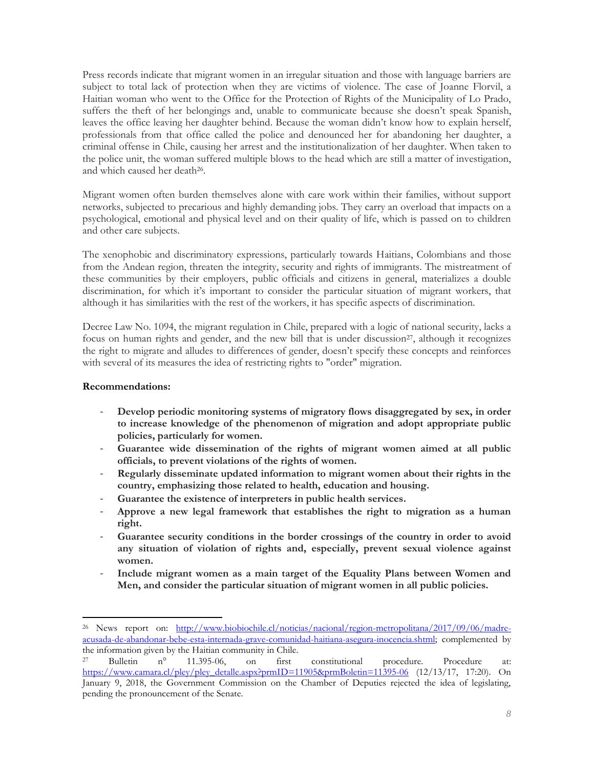Press records indicate that migrant women in an irregular situation and those with language barriers are subject to total lack of protection when they are victims of violence. The case of Joanne Florvil, a Haitian woman who went to the Office for the Protection of Rights of the Municipality of Lo Prado, suffers the theft of her belongings and, unable to communicate because she doesn't speak Spanish, leaves the office leaving her daughter behind. Because the woman didn't know how to explain herself, professionals from that office called the police and denounced her for abandoning her daughter, a criminal offense in Chile, causing her arrest and the institutionalization of her daughter. When taken to the police unit, the woman suffered multiple blows to the head which are still a matter of investigation, and which caused her death<sup>26</sup>.

Migrant women often burden themselves alone with care work within their families, without support networks, subjected to precarious and highly demanding jobs. They carry an overload that impacts on a psychological, emotional and physical level and on their quality of life, which is passed on to children and other care subjects.

The xenophobic and discriminatory expressions, particularly towards Haitians, Colombians and those from the Andean region, threaten the integrity, security and rights of immigrants. The mistreatment of these communities by their employers, public officials and citizens in general, materializes a double discrimination, for which it's important to consider the particular situation of migrant workers, that although it has similarities with the rest of the workers, it has specific aspects of discrimination.

Decree Law No. 1094, the migrant regulation in Chile, prepared with a logic of national security, lacks a focus on human rights and gender, and the new bill that is under discussion<sup>27</sup>, although it recognizes the right to migrate and alludes to differences of gender, doesn't specify these concepts and reinforces with several of its measures the idea of restricting rights to "order" migration.

#### **Recommendations:**

 $\overline{a}$ 

- **Develop periodic monitoring systems of migratory flows disaggregated by sex, in order to increase knowledge of the phenomenon of migration and adopt appropriate public policies, particularly for women.**
- **Guarantee wide dissemination of the rights of migrant women aimed at all public officials, to prevent violations of the rights of women.**
- **Regularly disseminate updated information to migrant women about their rights in the country, emphasizing those related to health, education and housing.**
- **Guarantee the existence of interpreters in public health services.**
- **Approve a new legal framework that establishes the right to migration as a human right.**
- **Guarantee security conditions in the border crossings of the country in order to avoid any situation of violation of rights and, especially, prevent sexual violence against women.**
- **Include migrant women as a main target of the Equality Plans between Women and Men, and consider the particular situation of migrant women in all public policies.**

<sup>&</sup>lt;sup>26</sup> News report on: [http://www.biobiochile.cl/noticias/nacional/region-metropolitana/2017/09/06/madre](http://www.biobiochile.cl/noticias/nacional/region-metropolitana/2017/09/06/madre-acusada-de-abandonar-bebe-esta-internada-grave-comunidad-haitiana-asegura-inocencia.shtml)[acusada-de-abandonar-bebe-esta-internada-grave-comunidad-haitiana-asegura-inocencia.shtml;](http://www.biobiochile.cl/noticias/nacional/region-metropolitana/2017/09/06/madre-acusada-de-abandonar-bebe-esta-internada-grave-comunidad-haitiana-asegura-inocencia.shtml) complemented by the information given by the Haitian community in Chile.<br><sup>27</sup> Bulletin  $n^{\circ}$  11.395-06, on first

<sup>27</sup> Bulletin n° 11.395-06, on first constitutional procedure. Procedure at: [https://www.camara.cl/pley/pley\\_detalle.aspx?prmID=11905&prmBoletin=11395-06](https://www.camara.cl/pley/pley_detalle.aspx?prmID=11905&prmBoletin=11395-06) (12/13/17, 17:20). On January 9, 2018, the Government Commission on the Chamber of Deputies rejected the idea of legislating, pending the pronouncement of the Senate.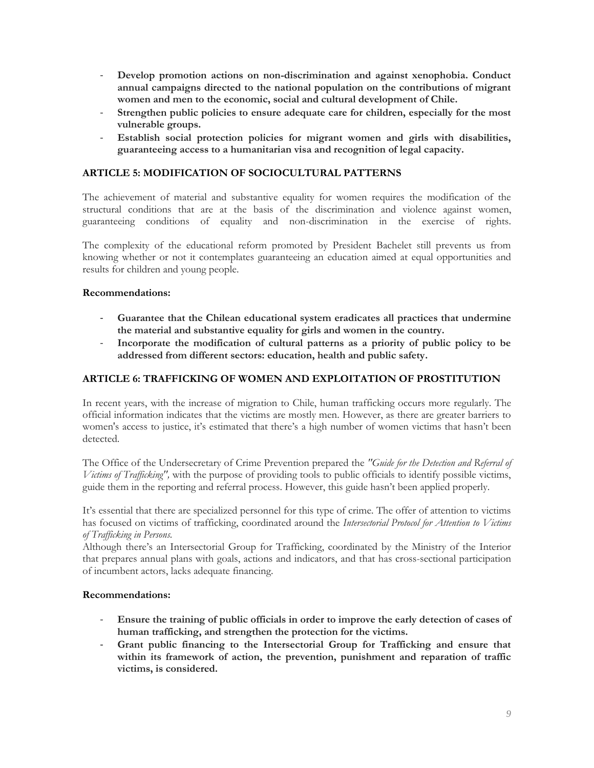- **Develop promotion actions on non-discrimination and against xenophobia. Conduct annual campaigns directed to the national population on the contributions of migrant women and men to the economic, social and cultural development of Chile.**
- Strengthen public policies to ensure adequate care for children, especially for the most **vulnerable groups.**
- **Establish social protection policies for migrant women and girls with disabilities, guaranteeing access to a humanitarian visa and recognition of legal capacity.**

# **ARTICLE 5: MODIFICATION OF SOCIOCULTURAL PATTERNS**

The achievement of material and substantive equality for women requires the modification of the structural conditions that are at the basis of the discrimination and violence against women, guaranteeing conditions of equality and non-discrimination in the exercise of rights.

The complexity of the educational reform promoted by President Bachelet still prevents us from knowing whether or not it contemplates guaranteeing an education aimed at equal opportunities and results for children and young people.

#### **Recommendations:**

- **Guarantee that the Chilean educational system eradicates all practices that undermine the material and substantive equality for girls and women in the country.**
- **Incorporate the modification of cultural patterns as a priority of public policy to be addressed from different sectors: education, health and public safety.**

# **ARTICLE 6: TRAFFICKING OF WOMEN AND EXPLOITATION OF PROSTITUTION**

In recent years, with the increase of migration to Chile, human trafficking occurs more regularly. The official information indicates that the victims are mostly men. However, as there are greater barriers to women's access to justice, it's estimated that there's a high number of women victims that hasn't been detected.

The Office of the Undersecretary of Crime Prevention prepared the *"Guide for the Detection and Referral of Victims of Trafficking",* with the purpose of providing tools to public officials to identify possible victims, guide them in the reporting and referral process. However, this guide hasn't been applied properly.

It's essential that there are specialized personnel for this type of crime. The offer of attention to victims has focused on victims of trafficking, coordinated around the *Intersectorial Protocol for Attention to Victims of Trafficking in Persons.*

Although there's an Intersectorial Group for Trafficking, coordinated by the Ministry of the Interior that prepares annual plans with goals, actions and indicators, and that has cross-sectional participation of incumbent actors, lacks adequate financing.

#### **Recommendations:**

- **Ensure the training of public officials in order to improve the early detection of cases of human trafficking, and strengthen the protection for the victims.**
- **Grant public financing to the Intersectorial Group for Trafficking and ensure that** within its framework of action, the prevention, punishment and reparation of traffic **victims, is considered.**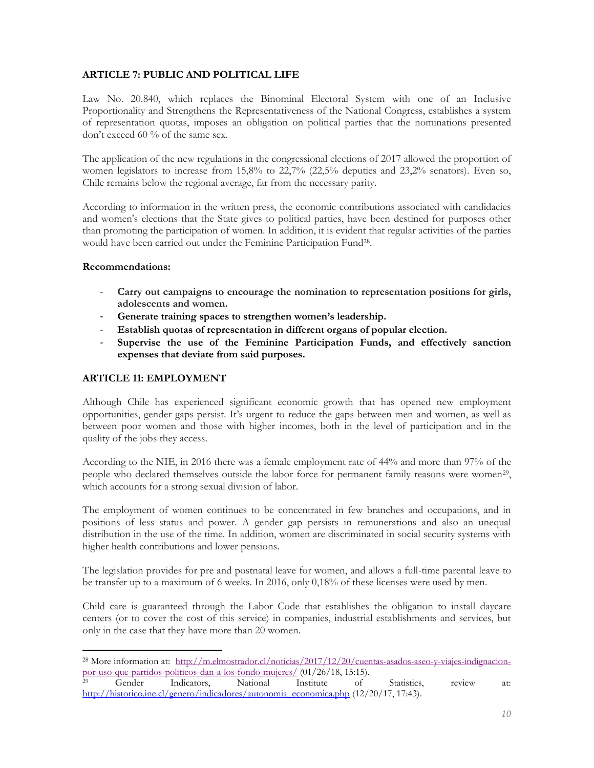# **ARTICLE 7: PUBLIC AND POLITICAL LIFE**

Law No. 20.840, which replaces the Binominal Electoral System with one of an Inclusive Proportionality and Strengthens the Representativeness of the National Congress, establishes a system of representation quotas, imposes an obligation on political parties that the nominations presented don't exceed 60 % of the same sex.

The application of the new regulations in the congressional elections of 2017 allowed the proportion of women legislators to increase from 15,8% to 22,7% (22,5% deputies and 23,2% senators). Even so, Chile remains below the regional average, far from the necessary parity.

According to information in the written press, the economic contributions associated with candidacies and women's elections that the State gives to political parties, have been destined for purposes other than promoting the participation of women. In addition, it is evident that regular activities of the parties would have been carried out under the Feminine Participation Fund<sup>28</sup>.

#### **Recommendations:**

 $\overline{a}$ 

- **Carry out campaigns to encourage the nomination to representation positions for girls, adolescents and women.**
- Generate training spaces to strengthen women's leadership.
- **Establish quotas of representation in different organs of popular election.**
- **Supervise the use of the Feminine Participation Funds, and effectively sanction expenses that deviate from said purposes.**

# **ARTICLE 11: EMPLOYMENT**

Although Chile has experienced significant economic growth that has opened new employment opportunities, gender gaps persist. It's urgent to reduce the gaps between men and women, as well as between poor women and those with higher incomes, both in the level of participation and in the quality of the jobs they access.

According to the NIE, in 2016 there was a female employment rate of 44% and more than 97% of the people who declared themselves outside the labor force for permanent family reasons were women<sup>29</sup>, which accounts for a strong sexual division of labor.

The employment of women continues to be concentrated in few branches and occupations, and in positions of less status and power. A gender gap persists in remunerations and also an unequal distribution in the use of the time. In addition, women are discriminated in social security systems with higher health contributions and lower pensions.

The legislation provides for pre and postnatal leave for women, and allows a full-time parental leave to be transfer up to a maximum of 6 weeks. In 2016, only 0,18% of these licenses were used by men.

Child care is guaranteed through the Labor Code that establishes the obligation to install daycare centers (or to cover the cost of this service) in companies, industrial establishments and services, but only in the case that they have more than 20 women.

<sup>&</sup>lt;sup>28</sup> More information at: [http://m.elmostrador.cl/noticias/2017/12/20/cuentas-asados-aseo-y-viajes-indignacion](http://m.elmostrador.cl/noticias/2017/12/20/cuentas-asados-aseo-y-viajes-indignacion-por-uso-que-partidos-politicos-dan-a-los-fondo-mujeres/)[por-uso-que-partidos-politicos-dan-a-los-fondo-mujeres/](http://m.elmostrador.cl/noticias/2017/12/20/cuentas-asados-aseo-y-viajes-indignacion-por-uso-que-partidos-politicos-dan-a-los-fondo-mujeres/) (01/26/18, 15:15).

<sup>29</sup> Gender Indicators, National Institute of Statistics, review at: [http://historico.ine.cl/genero/indicadores/autonomia\\_economica.php](http://historico.ine.cl/genero/indicadores/autonomia_economica.php) (12/20/17, 17:43).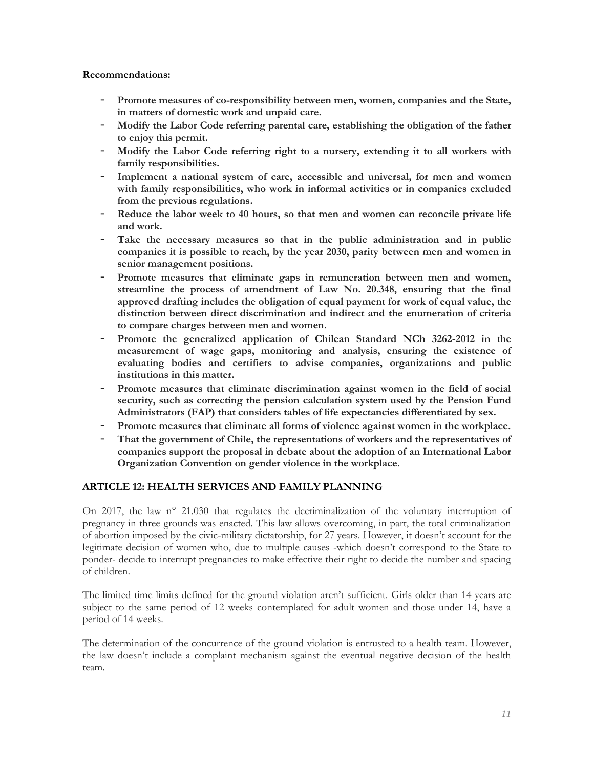- Promote measures of co-responsibility between men, women, companies and the State, **in matters of domestic work and unpaid care.**
- **Modify the Labor Code referring parental care, establishing the obligation of the father to enjoy this permit.**
- **Modify the Labor Code referring right to a nursery, extending it to all workers with family responsibilities.**
- Implement a national system of care, accessible and universal, for men and women **with family responsibilities, who work in informal activities or in companies excluded from the previous regulations.**
- Reduce the labor week to 40 hours, so that men and women can reconcile private life **and work.**
- **Take the necessary measures so that in the public administration and in public companies it is possible to reach, by the year 2030, parity between men and women in senior management positions.**
- Promote measures that eliminate gaps in remuneration between men and women, **streamline the process of amendment of Law No. 20.348, ensuring that the final approved drafting includes the obligation of equal payment for work of equal value, the distinction between direct discrimination and indirect and the enumeration of criteria to compare charges between men and women.**
- **Promote the generalized application of Chilean Standard NCh 3262-2012 in the measurement of wage gaps, monitoring and analysis, ensuring the existence of evaluating bodies and certifiers to advise companies, organizations and public institutions in this matter.**
- **Promote measures that eliminate discrimination against women in the field of social security, such as correcting the pension calculation system used by the Pension Fund Administrators (FAP) that considers tables of life expectancies differentiated by sex.**
- **Promote measures that eliminate all forms of violence against women in the workplace.**
- That the government of Chile, the representations of workers and the representatives of **companies support the proposal in debate about the adoption of an International Labor Organization Convention on gender violence in the workplace.**

# **ARTICLE 12: HEALTH SERVICES AND FAMILY PLANNING**

On 2017, the law n° 21.030 that regulates the decriminalization of the voluntary interruption of pregnancy in three grounds was enacted. This law allows overcoming, in part, the total criminalization of abortion imposed by the civic-military dictatorship, for 27 years. However, it doesn't account for the legitimate decision of women who, due to multiple causes -which doesn't correspond to the State to ponder- decide to interrupt pregnancies to make effective their right to decide the number and spacing of children.

The limited time limits defined for the ground violation aren't sufficient. Girls older than 14 years are subject to the same period of 12 weeks contemplated for adult women and those under 14, have a period of 14 weeks.

The determination of the concurrence of the ground violation is entrusted to a health team. However, the law doesn't include a complaint mechanism against the eventual negative decision of the health team.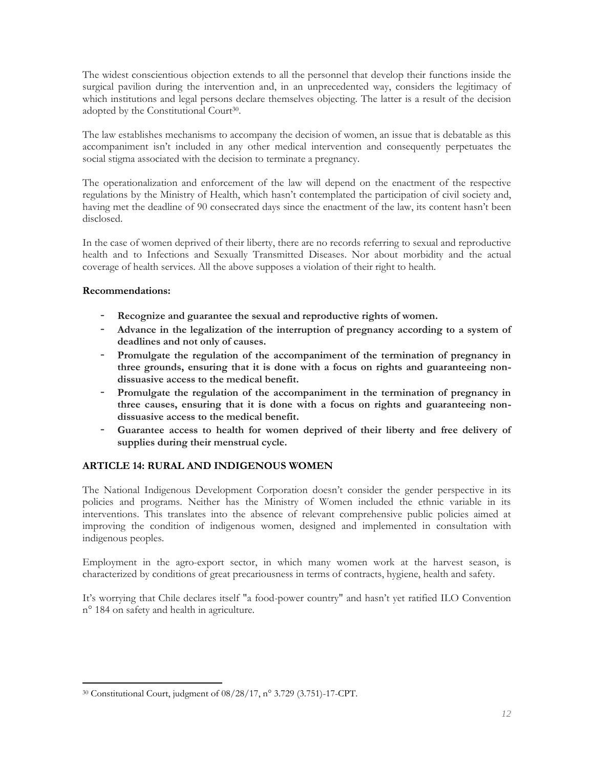The widest conscientious objection extends to all the personnel that develop their functions inside the surgical pavilion during the intervention and, in an unprecedented way, considers the legitimacy of which institutions and legal persons declare themselves objecting. The latter is a result of the decision adopted by the Constitutional Court<sup>30</sup>.

The law establishes mechanisms to accompany the decision of women, an issue that is debatable as this accompaniment isn't included in any other medical intervention and consequently perpetuates the social stigma associated with the decision to terminate a pregnancy.

The operationalization and enforcement of the law will depend on the enactment of the respective regulations by the Ministry of Health, which hasn't contemplated the participation of civil society and, having met the deadline of 90 consecrated days since the enactment of the law, its content hasn't been disclosed.

In the case of women deprived of their liberty, there are no records referring to sexual and reproductive health and to Infections and Sexually Transmitted Diseases. Nor about morbidity and the actual coverage of health services. All the above supposes a violation of their right to health.

# **Recommendations:**

- Recognize and guarantee the sexual and reproductive rights of women.
- **Advance in the legalization of the interruption of pregnancy according to a system of deadlines and not only of causes.**
- **Promulgate the regulation of the accompaniment of the termination of pregnancy in three grounds, ensuring that it is done with a focus on rights and guaranteeing nondissuasive access to the medical benefit.**
- Promulgate the regulation of the accompaniment in the termination of pregnancy in **three causes, ensuring that it is done with a focus on rights and guaranteeing nondissuasive access to the medical benefit.**
- **Guarantee access to health for women deprived of their liberty and free delivery of supplies during their menstrual cycle.**

# **ARTICLE 14: RURAL AND INDIGENOUS WOMEN**

The National Indigenous Development Corporation doesn't consider the gender perspective in its policies and programs. Neither has the Ministry of Women included the ethnic variable in its interventions. This translates into the absence of relevant comprehensive public policies aimed at improving the condition of indigenous women, designed and implemented in consultation with indigenous peoples.

Employment in the agro-export sector, in which many women work at the harvest season, is characterized by conditions of great precariousness in terms of contracts, hygiene, health and safety.

It's worrying that Chile declares itself "a food-power country" and hasn't yet ratified ILO Convention n° 184 on safety and health in agriculture.

 $\overline{a}$ <sup>30</sup> Constitutional Court, judgment of 08/28/17, n° 3.729 (3.751)-17-CPT.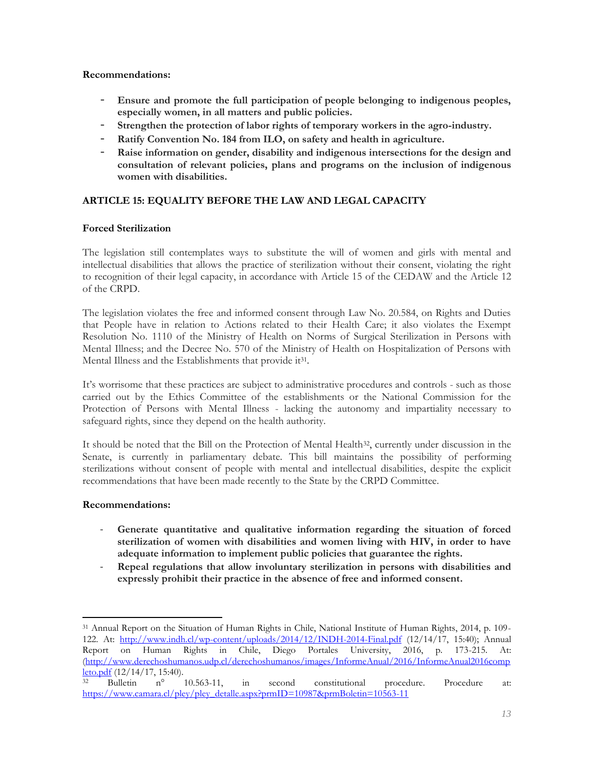- **Ensure and promote the full participation of people belonging to indigenous peoples, especially women, in all matters and public policies.**
- **Strengthen the protection of labor rights of temporary workers in the agro-industry.**
- Ratify Convention No. 184 from ILO, on safety and health in agriculture.
- Raise information on gender, disability and indigenous intersections for the design and **consultation of relevant policies, plans and programs on the inclusion of indigenous women with disabilities.**

# **ARTICLE 15: EQUALITY BEFORE THE LAW AND LEGAL CAPACITY**

# **Forced Sterilization**

The legislation still contemplates ways to substitute the will of women and girls with mental and intellectual disabilities that allows the practice of sterilization without their consent, violating the right to recognition of their legal capacity, in accordance with Article 15 of the CEDAW and the Article 12 of the CRPD.

The legislation violates the free and informed consent through Law No. 20.584, on Rights and Duties that People have in relation to Actions related to their Health Care; it also violates the Exempt Resolution No. 1110 of the Ministry of Health on Norms of Surgical Sterilization in Persons with Mental Illness; and the Decree No. 570 of the Ministry of Health on Hospitalization of Persons with Mental Illness and the Establishments that provide it<sup>31</sup>.

It's worrisome that these practices are subject to administrative procedures and controls - such as those carried out by the Ethics Committee of the establishments or the National Commission for the Protection of Persons with Mental Illness - lacking the autonomy and impartiality necessary to safeguard rights, since they depend on the health authority.

It should be noted that the Bill on the Protection of Mental Health<sup>32</sup>, currently under discussion in the Senate, is currently in parliamentary debate. This bill maintains the possibility of performing sterilizations without consent of people with mental and intellectual disabilities, despite the explicit recommendations that have been made recently to the State by the CRPD Committee.

# **Recommendations:**

- Generate quantitative and qualitative information regarding the situation of forced **sterilization of women with disabilities and women living with HIV, in order to have adequate information to implement public policies that guarantee the rights.**
- **Repeal regulations that allow involuntary sterilization in persons with disabilities and expressly prohibit their practice in the absence of free and informed consent.**

 $\overline{a}$ <sup>31</sup> Annual Report on the Situation of Human Rights in Chile, National Institute of Human Rights, 2014, p. 109- 122. At: <http://www.indh.cl/wp-content/uploads/2014/12/INDH-2014-Final.pdf> (12/14/17, 15:40); Annual Report on Human Rights in Chile, Diego Portales University, 2016, p. 173-215. At: [\(http://www.derechoshumanos.udp.cl/derechoshumanos/images/InformeAnual/2016/InformeAnual2016comp](http://www.derechoshumanos.udp.cl/derechoshumanos/images/InformeAnual/2016/InformeAnual2016completo.pdf)  $\frac{\text{leto.pdf}}{32}$  $\frac{\text{leto.pdf}}{32}$  $\frac{\text{leto.pdf}}{32}$  Bulletin  $n^{\circ}$ 

<sup>32</sup> Bulletin n° 10.563-11, in second constitutional procedure. Procedure at: [https://www.camara.cl/pley/pley\\_detalle.aspx?prmID=10987&prmBoletin=10563-11](https://www.camara.cl/pley/pley_detalle.aspx?prmID=10987&prmBoletin=10563-11)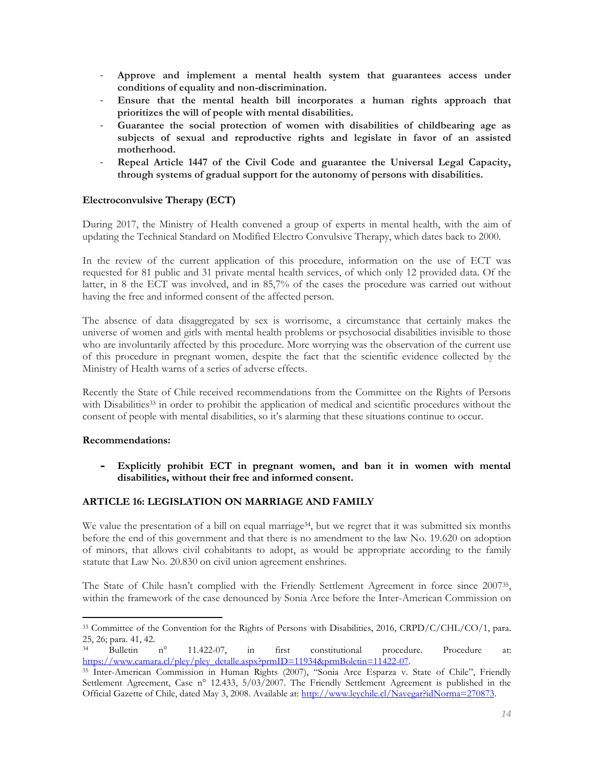- **Approve and implement a mental health system that guarantees access under conditions of equality and non-discrimination.**
- **Ensure that the mental health bill incorporates a human rights approach that prioritizes the will of people with mental disabilities.**
- **Guarantee the social protection of women with disabilities of childbearing age as subjects of sexual and reproductive rights and legislate in favor of an assisted motherhood.**
- **Repeal Article 1447 of the Civil Code and guarantee the Universal Legal Capacity, through systems of gradual support for the autonomy of persons with disabilities.**

# **Electroconvulsive Therapy (ECT)**

During 2017, the Ministry of Health convened a group of experts in mental health, with the aim of updating the Technical Standard on Modified Electro Convulsive Therapy, which dates back to 2000.

In the review of the current application of this procedure, information on the use of ECT was requested for 81 public and 31 private mental health services, of which only 12 provided data. Of the latter, in 8 the ECT was involved, and in 85,7% of the cases the procedure was carried out without having the free and informed consent of the affected person.

The absence of data disaggregated by sex is worrisome, a circumstance that certainly makes the universe of women and girls with mental health problems or psychosocial disabilities invisible to those who are involuntarily affected by this procedure. More worrying was the observation of the current use of this procedure in pregnant women, despite the fact that the scientific evidence collected by the Ministry of Health warns of a series of adverse effects.

Recently the State of Chile received recommendations from the Committee on the Rights of Persons with Disabilities<sup>33</sup> in order to prohibit the application of medical and scientific procedures without the consent of people with mental disabilities, so it's alarming that these situations continue to occur.

# **Recommendations:**

 $\overline{a}$ 

- **Explicitly prohibit ECT in pregnant women, and ban it in women with mental disabilities, without their free and informed consent.** 

# **ARTICLE 16: LEGISLATION ON MARRIAGE AND FAMILY**

We value the presentation of a bill on equal marriage<sup>34</sup>, but we regret that it was submitted six months before the end of this government and that there is no amendment to the law No. 19.620 on adoption of minors, that allows civil cohabitants to adopt, as would be appropriate according to the family statute that Law No. 20.830 on civil union agreement enshrines.

The State of Chile hasn't complied with the Friendly Settlement Agreement in force since 200735, within the framework of the case denounced by Sonia Arce before the Inter-American Commission on

<sup>&</sup>lt;sup>33</sup> Committee of the Convention for the Rights of Persons with Disabilities, 2016, CRPD/C/CHL/CO/1, para. 25, 26; para. 41, 42.<br><sup>34</sup> Bulletin n<sup>o</sup>

<sup>34</sup> Bulletin n° 11.422-07, in first constitutional procedure. Procedure at: https://www.camara.cl/pley/pley\_detalle.aspx?prmID=11934&prmBoletin=11422-07.

<sup>&</sup>lt;sup>35</sup> Inter-American Commission in Human Rights (2007), "Sonia Arce Esparza v. State of Chile", Friendly Settlement Agreement, Case n° 12.433, 5/03/2007. The Friendly Settlement Agreement is published in the Official Gazette of Chile, dated May 3, 2008. Available at[: http://www.leychile.cl/Navegar?idNorma=270873.](http://www.leychile.cl/Navegar?idNorma=270873)